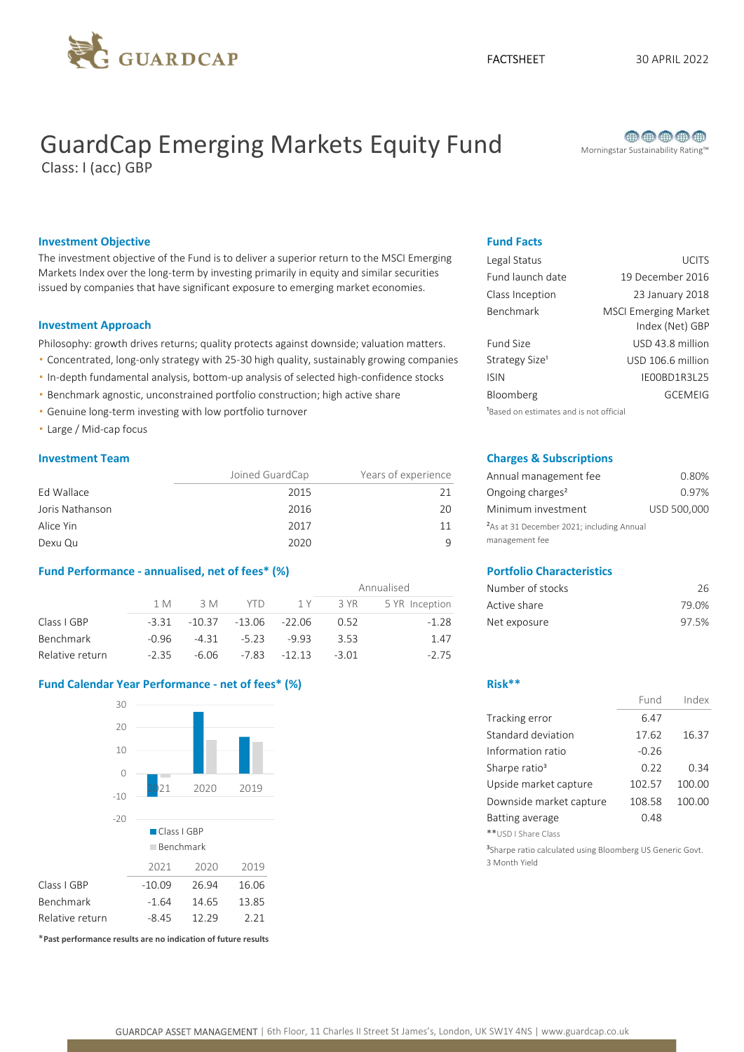

# GuardCap Emerging Markets Equity Fund Morningstar Sustainability Rating™

Class: I (acc) GBP



### **Investment Objective Fund Facts** Fund Facts

The investment objective of the Fund is to deliver a superior return to the MSCI Emerging Markets Index over the long-term by investing primarily in equity and similar securities issued by companies that have significant exposure to emerging market economies.

#### Investment Approach

Philosophy: growth drives returns; quality protects against downside; valuation matters.

- Concentrated, long-only strategy with 25-30 high quality, sustainably growing companies
- In-depth fundamental analysis, bottom-up analysis of selected high-confidence stocks
- Benchmark agnostic, unconstrained portfolio construction; high active share
- Genuine long-term investing with low portfolio turnover
- Large / Mid-cap focus

|                 | Joined GuardCap | Years of experience | Annual management fee                                 | 0.80%       |
|-----------------|-----------------|---------------------|-------------------------------------------------------|-------------|
| Ed Wallace      | 2015            |                     | Ongoing charges <sup>2</sup>                          | 0.97%       |
| Joris Nathanson | 2016            | 20                  | Minimum investment                                    | USD 500,000 |
| Alice Yin       | 2017            |                     | <sup>2</sup> As at 31 December 2021; including Annual |             |
| Dexu Qu         | 2020            |                     | management fee                                        |             |

### Fund Performance - annualised, net of fees\* (%) Portfolio Characteristics

|                  |         |          |         |               |         | Annualised     | Number of stocks | 26    |
|------------------|---------|----------|---------|---------------|---------|----------------|------------------|-------|
|                  | l M     | 3 M      | Y I D   | 1 Y           | 3 YR    | 5 YR Inception | Active share     | 79.0% |
| Class I GBP      | $-3.31$ | $-10.37$ |         | -13.06 -22.06 | 0.52    | $-1.28$        | Net exposure     | 97.5% |
| <b>Benchmark</b> | $-0.96$ | $-4.31$  | $-5.23$ | $-9.93$       | 3.53    | 1.47           |                  |       |
| Relative return  | $-2.35$ | $-6.06$  | $-7.83$ | $-12.13$      | $-3.01$ | $-2.75$        |                  |       |

### Fund Calendar Year Performance - net of fees\* (%) example a state of the Risk\*\*



\*Past performance results are no indication of future results

| Legal Status                                        | <b>UCITS</b>                                   |
|-----------------------------------------------------|------------------------------------------------|
| Fund launch date                                    | 19 December 2016                               |
| Class Inception                                     | 23 January 2018                                |
| <b>Benchmark</b>                                    | <b>MSCI Emerging Market</b><br>Index (Net) GBP |
| Fund Size                                           | USD 43.8 million                               |
| Strategy Size <sup>1</sup>                          | USD 106.6 million                              |
| <b>ISIN</b>                                         | IE00BD1R3L25                                   |
| Bloomberg                                           | <b>GCEMEIG</b>                                 |
| <sup>1</sup> Based on estimates and is not official |                                                |

#### **Investment Team Charges & Subscriptions**

| Annual management fee                                                   | 0.80%       |
|-------------------------------------------------------------------------|-------------|
| Ongoing charges <sup>2</sup>                                            | 0.97%       |
| Minimum investment                                                      | USD 500,000 |
| <sup>2</sup> As at 31 December 2021; including Annual<br>management fee |             |

| Number of stocks | 26    |
|------------------|-------|
| Active share     | 79.0% |
| Net exposure     | 97.5% |

|                           | Fund    | Index  |
|---------------------------|---------|--------|
| Tracking error            | 6.47    |        |
| Standard deviation        | 17.62   | 16.37  |
| Information ratio         | $-0.26$ |        |
| Sharpe ratio <sup>3</sup> | 0.22    | 0.34   |
| Upside market capture     | 102.57  | 100.00 |
| Downside market capture   | 108.58  | 100.00 |
| <b>Batting average</b>    | 0.48    |        |
| SD I Share Class          |         |        |

<sup>3</sup>Sharpe ratio calculated using Bloomberg US Generic Govt. 3 Month Yield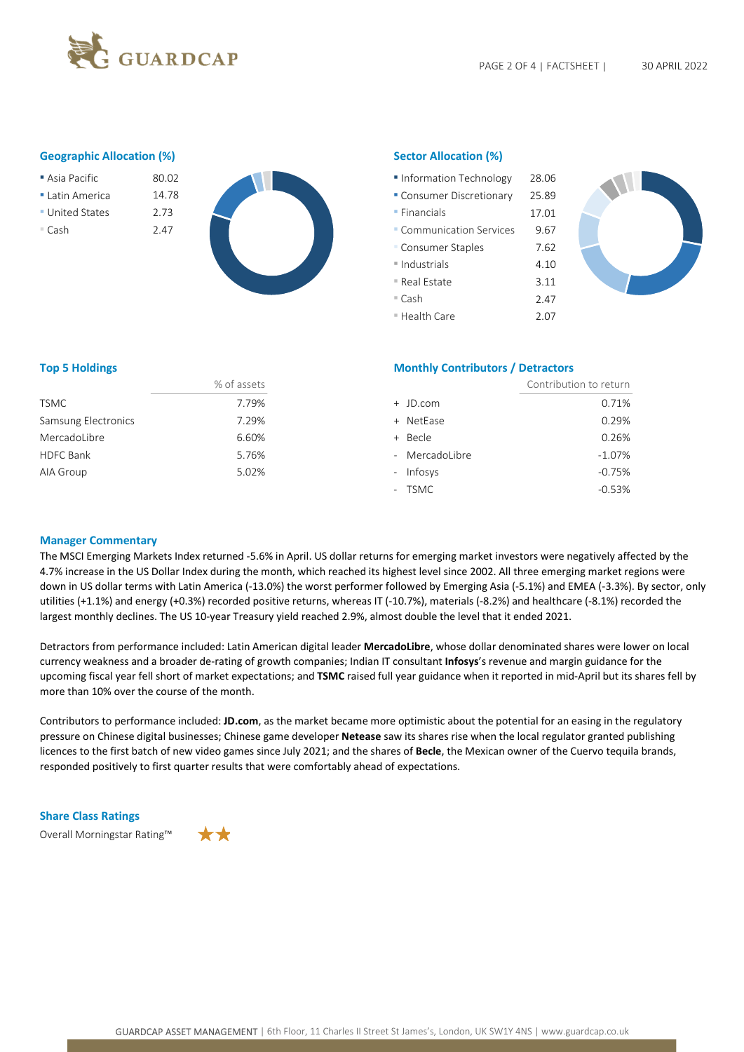

### Geographic Allocation (%) Sector Allocation (%)

- 
- Latin America 14.78
- **United States** 2.73
- 



| Asia Pacific  | 80.02 | Information Technology    | 28.06 |
|---------------|-------|---------------------------|-------|
| Latin America | 14.78 | • Consumer Discretionary  | 25.89 |
| United States | 2.73  | $\blacksquare$ Financials | 17.01 |
| ■ Cash        | 2.47  | • Communication Services  | 9.67  |
|               |       | • Consumer Staples        | 7.62  |
|               |       | Industrials               | 4.10  |
|               |       | ■ Real Estate             | 3.11  |
|               |       | $=$ Cash                  | 2.47  |
|               |       | ■ Health Care             | 2.07  |



|                     | % of assets |
|---------------------|-------------|
| <b>TSMC</b>         | 7.79%       |
| Samsung Electronics | 7.29%       |
| Mercadol ibre       | 6.60%       |
| HDFC Bank           | 5.76%       |
| AIA Group           | 5.02%       |
|                     |             |

#### Top 5 Holdings **Monthly Contributors / Detractors** Monthly Contributors / Detractors

|                     | % of assets |                | Contribution to return |
|---------------------|-------------|----------------|------------------------|
| TSMC                | 7.79%       | + JD.com       | 0.71%                  |
| Samsung Electronics | 7.29%       | + NetEase      | 0.29%                  |
| MercadoLibre        | 6.60%       | + Becle        | 0.26%                  |
| <b>HDFC Bank</b>    | 5.76%       | - MercadoLibre | $-1.07%$               |
| AIA Group           | 5.02%       | - Infosys      | $-0.75%$               |
|                     |             | - TSMC         | $-0.53%$               |
|                     |             |                |                        |

### Manager Commentary

The MSCI Emerging Markets Index returned -5.6% in April. US dollar returns for emerging market investors were negatively affected by the 4.7% increase in the US Dollar Index during the month, which reached its highest level since 2002. All three emerging market regions were down in US dollar terms with Latin America (-13.0%) the worst performer followed by Emerging Asia (-5.1%) and EMEA (-3.3%). By sector, only utilities (+1.1%) and energy (+0.3%) recorded positive returns, whereas IT (-10.7%), materials (-8.2%) and healthcare (-8.1%) recorded the largest monthly declines. The US 10-year Treasury yield reached 2.9%, almost double the level that it ended 2021.

Detractors from performance included: Latin American digital leader MercadoLibre, whose dollar denominated shares were lower on local currency weakness and a broader de-rating of growth companies; Indian IT consultant Infosys's revenue and margin guidance for the upcoming fiscal year fell short of market expectations; and TSMC raised full year guidance when it reported in mid-April but its shares fell by more than 10% over the course of the month.

Contributors to performance included: JD.com, as the market became more optimistic about the potential for an easing in the regulatory pressure on Chinese digital businesses; Chinese game developer Netease saw its shares rise when the local regulator granted publishing licences to the first batch of new video games since July 2021; and the shares of Becle, the Mexican owner of the Cuervo tequila brands, responded positively to first quarter results that were comfortably ahead of expectations.

#### Share Class Ratings

Overall Morningstar Rating™

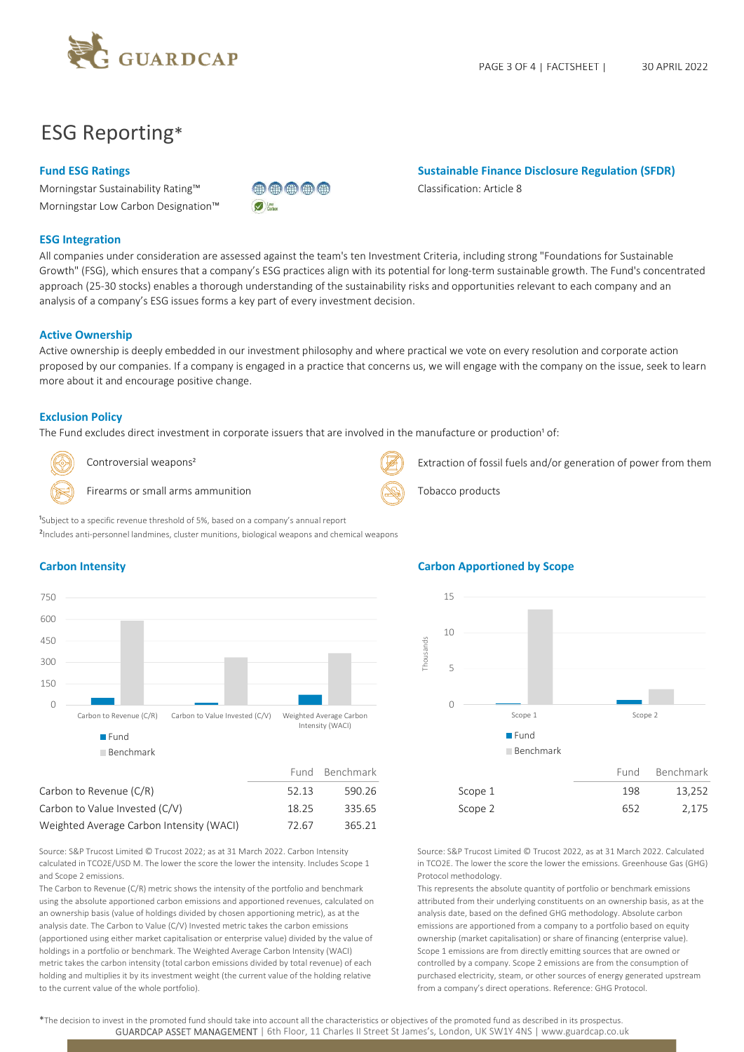

# ESG Reporting\*

Morningstar Sustainability Rating™ Classification: Article 8 Morningstar Low Carbon Designation™



## Fund ESG Ratings **Sustainable Finance Disclosure Regulation (SFDR)** Sustainable Finance Disclosure Regulation (SFDR)

### ESG Integration

All companies under consideration are assessed against the team's ten Investment Criteria, including strong "Foundations for Sustainable Growth" (FSG), which ensures that a company's ESG practices align with its potential for long-term sustainable growth. The Fund's concentrated approach (25-30 stocks) enables a thorough understanding of the sustainability risks and opportunities relevant to each company and an analysis of a company's ESG issues forms a key part of every investment decision.

#### Active Ownership

Active ownership is deeply embedded in our investment philosophy and where practical we vote on every resolution and corporate action proposed by our companies. If a company is engaged in a practice that concerns us, we will engage with the company on the issue, seek to learn more about it and encourage positive change.

#### Exclusion Policy

The Fund excludes direct investment in corporate issuers that are involved in the manufacture or production<sup>1</sup> of:



Firearms or small arms ammunition Tobacco products Tobacco products



Controversial weapons<sup>2</sup> Extraction of fossil fuels and/or generation of power from them

²Includes anti-personnel landmines, cluster munitions, biological weapons and chemical weapons

<sup>1</sup>Subject to a specific revenue threshold of 5%, based on a company's annual report



# Carbon to Revenue (C/R)  $52.13$  590.26 Scope 1 198 13,252 Carbon to Value Invested (C/V) 18.25 335.65 Scope 2 652 2,175 Weighted Average Carbon Intensity (WACI) 72.67 365.21

Source: S&P Trucost Limited © Trucost 2022; as at 31 March 2022. Carbon Intensity calculated in TCO2E/USD M. The lower the score the lower the intensity. Includes Scope 1 and Scope 2 emissions.

The Carbon to Revenue (C/R) metric shows the intensity of the portfolio and benchmark using the absolute apportioned carbon emissions and apportioned revenues, calculated on an ownership basis (value of holdings divided by chosen apportioning metric), as at the analysis date. The Carbon to Value (C/V) Invested metric takes the carbon emissions (apportioned using either market capitalisation or enterprise value) divided by the value of holdings in a portfolio or benchmark. The Weighted Average Carbon Intensity (WACI) metric takes the carbon intensity (total carbon emissions divided by total revenue) of each holding and multiplies it by its investment weight (the current value of the holding relative to the current value of the whole portfolio).

### Carbon Intensity Carbon Apportioned by Scope



Source: S&P Trucost Limited © Trucost 2022, as at 31 March 2022. Calculated in TCO2E. The lower the score the lower the emissions. Greenhouse Gas (GHG) Protocol methodology.

This represents the absolute quantity of portfolio or benchmark emissions attributed from their underlying constituents on an ownership basis, as at the analysis date, based on the defined GHG methodology. Absolute carbon emissions are apportioned from a company to a portfolio based on equity ownership (market capitalisation) or share of financing (enterprise value). Scope 1 emissions are from directly emitting sources that are owned or controlled by a company. Scope 2 emissions are from the consumption of purchased electricity, steam, or other sources of energy generated upstream from a company's direct operations. Reference: GHG Protocol.